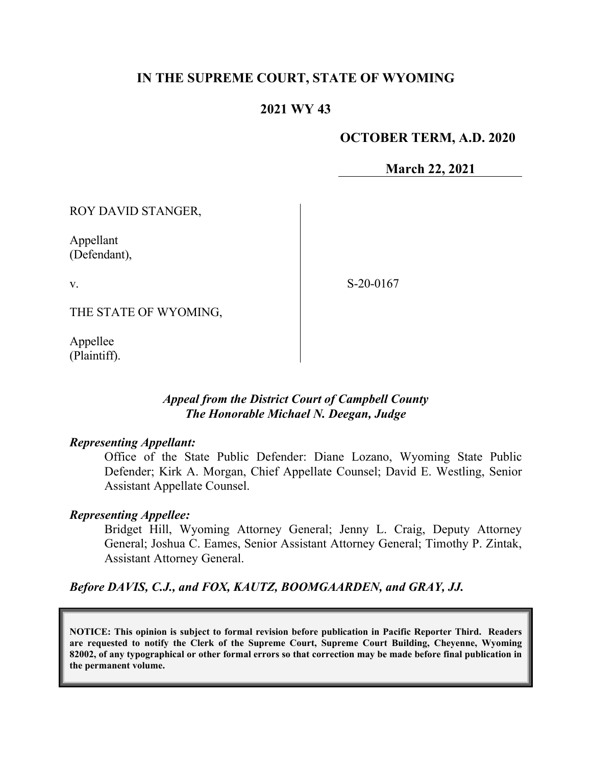# **IN THE SUPREME COURT, STATE OF WYOMING**

# **2021 WY 43**

## **OCTOBER TERM, A.D. 2020**

**March 22, 2021**

ROY DAVID STANGER,

Appellant (Defendant),

v.

S-20-0167

THE STATE OF WYOMING,

Appellee (Plaintiff).

## *Appeal from the District Court of Campbell County The Honorable Michael N. Deegan, Judge*

#### *Representing Appellant:*

Office of the State Public Defender: Diane Lozano, Wyoming State Public Defender; Kirk A. Morgan, Chief Appellate Counsel; David E. Westling, Senior Assistant Appellate Counsel.

## *Representing Appellee:*

Bridget Hill, Wyoming Attorney General; Jenny L. Craig, Deputy Attorney General; Joshua C. Eames, Senior Assistant Attorney General; Timothy P. Zintak, Assistant Attorney General.

## *Before DAVIS, C.J., and FOX, KAUTZ, BOOMGAARDEN, and GRAY, JJ.*

**NOTICE: This opinion is subject to formal revision before publication in Pacific Reporter Third. Readers are requested to notify the Clerk of the Supreme Court, Supreme Court Building, Cheyenne, Wyoming 82002, of any typographical or other formal errors so that correction may be made before final publication in the permanent volume.**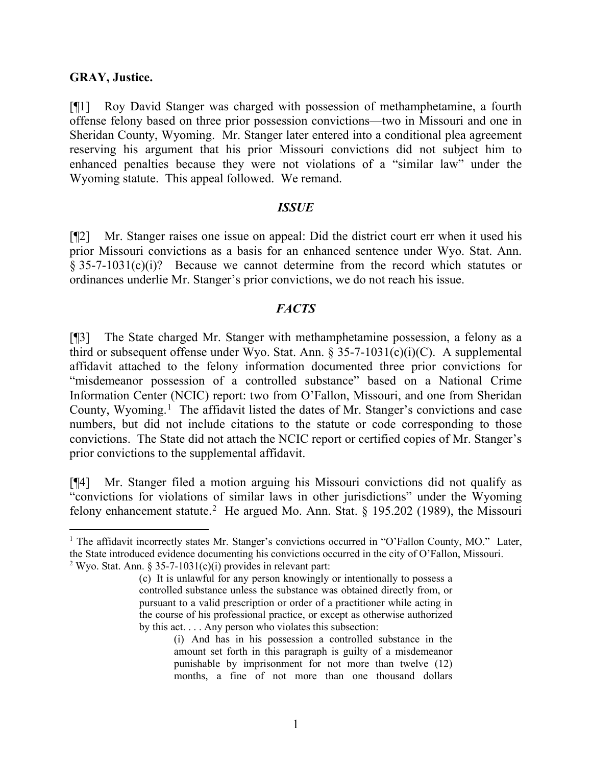### **GRAY, Justice.**

[¶1] Roy David Stanger was charged with possession of methamphetamine, a fourth offense felony based on three prior possession convictions—two in Missouri and one in Sheridan County, Wyoming. Mr. Stanger later entered into a conditional plea agreement reserving his argument that his prior Missouri convictions did not subject him to enhanced penalties because they were not violations of a "similar law" under the Wyoming statute. This appeal followed. We remand.

#### *ISSUE*

[¶2] Mr. Stanger raises one issue on appeal: Did the district court err when it used his prior Missouri convictions as a basis for an enhanced sentence under Wyo. Stat. Ann. § 35-7-1031(c)(i)? Because we cannot determine from the record which statutes or ordinances underlie Mr. Stanger's prior convictions, we do not reach his issue.

### *FACTS*

[¶3] The State charged Mr. Stanger with methamphetamine possession, a felony as a third or subsequent offense under Wyo. Stat. Ann. § 35-7-1031(c)(i)(C). A supplemental affidavit attached to the felony information documented three prior convictions for "misdemeanor possession of a controlled substance" based on a National Crime Information Center (NCIC) report: two from O'Fallon, Missouri, and one from Sheridan County, Wyoming.<sup>[1](#page-1-0)</sup> The affidavit listed the dates of Mr. Stanger's convictions and case numbers, but did not include citations to the statute or code corresponding to those convictions. The State did not attach the NCIC report or certified copies of Mr. Stanger's prior convictions to the supplemental affidavit.

[¶4] Mr. Stanger filed a motion arguing his Missouri convictions did not qualify as "convictions for violations of similar laws in other jurisdictions" under the Wyoming felony enhancement statute.<sup>[2](#page-1-1)</sup> He argued Mo. Ann. Stat. § 195.202 (1989), the Missouri

<span id="page-1-1"></span><span id="page-1-0"></span><sup>&</sup>lt;sup>1</sup> The affidavit incorrectly states Mr. Stanger's convictions occurred in "O'Fallon County, MO." Later, the State introduced evidence documenting his convictions occurred in the city of O'Fallon, Missouri. <sup>2</sup> Wyo. Stat. Ann. § 35-7-1031(c)(i) provides in relevant part:

<sup>(</sup>c) It is unlawful for any person knowingly or intentionally to possess a controlled substance unless the substance was obtained directly from, or pursuant to a valid prescription or order of a practitioner while acting in the course of his professional practice, or except as otherwise authorized by this act. . . . Any person who violates this subsection:

<sup>(</sup>i) And has in his possession a controlled substance in the amount set forth in this paragraph is guilty of a misdemeanor punishable by imprisonment for not more than twelve (12) months, a fine of not more than one thousand dollars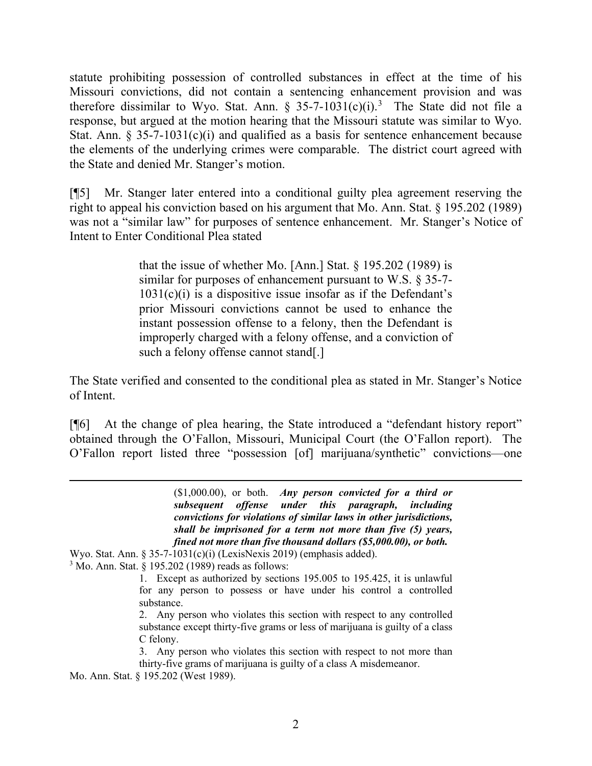statute prohibiting possession of controlled substances in effect at the time of his Missouri convictions, did not contain a sentencing enhancement provision and was therefore dissimilar to Wyo. Stat. Ann.  $\S 35-7-1031(c)(i).$  $\S 35-7-1031(c)(i).$  $\S 35-7-1031(c)(i).$ <sup>3</sup> The State did not file a response, but argued at the motion hearing that the Missouri statute was similar to Wyo. Stat. Ann.  $\S 35-7-1031(c)(i)$  and qualified as a basis for sentence enhancement because the elements of the underlying crimes were comparable. The district court agreed with the State and denied Mr. Stanger's motion.

[¶5] Mr. Stanger later entered into a conditional guilty plea agreement reserving the right to appeal his conviction based on his argument that Mo. Ann. Stat. § 195.202 (1989) was not a "similar law" for purposes of sentence enhancement. Mr. Stanger's Notice of Intent to Enter Conditional Plea stated

> that the issue of whether Mo. [Ann.] Stat. § 195.202 (1989) is similar for purposes of enhancement pursuant to W.S. § 35-7-  $1031(c)(i)$  is a dispositive issue insofar as if the Defendant's prior Missouri convictions cannot be used to enhance the instant possession offense to a felony, then the Defendant is improperly charged with a felony offense, and a conviction of such a felony offense cannot stand[.]

The State verified and consented to the conditional plea as stated in Mr. Stanger's Notice of Intent.

[¶6] At the change of plea hearing, the State introduced a "defendant history report" obtained through the O'Fallon, Missouri, Municipal Court (the O'Fallon report). The O'Fallon report listed three "possession [of] marijuana/synthetic" convictions—one

> (\$1,000.00), or both. *Any person convicted for a third or subsequent offense under this paragraph, including convictions for violations of similar laws in other jurisdictions, shall be imprisoned for a term not more than five (5) years, fined not more than five thousand dollars (\$5,000.00), or both.*

Wyo. Stat. Ann. § 35-7-1031(c)(i) (LexisNexis 2019) (emphasis added).

<span id="page-2-0"></span> $3$  Mo. Ann. Stat. § 195.202 (1989) reads as follows:

1. Except as authorized by sections 195.005 to 195.425, it is unlawful for any person to possess or have under his control a controlled substance.

2. Any person who violates this section with respect to any controlled substance except thirty-five grams or less of marijuana is guilty of a class C felony.

3. Any person who violates this section with respect to not more than thirty-five grams of marijuana is guilty of a class A misdemeanor.

Mo. Ann. Stat. § 195.202 (West 1989).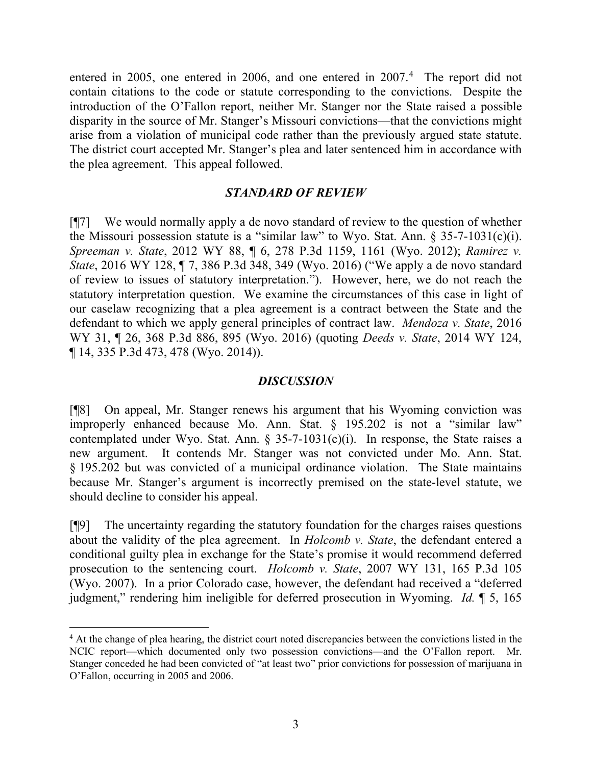entered in 2005, one entered in 2006, and one entered in 2007. [4](#page-3-0) The report did not contain citations to the code or statute corresponding to the convictions. Despite the introduction of the O'Fallon report, neither Mr. Stanger nor the State raised a possible disparity in the source of Mr. Stanger's Missouri convictions—that the convictions might arise from a violation of municipal code rather than the previously argued state statute. The district court accepted Mr. Stanger's plea and later sentenced him in accordance with the plea agreement. This appeal followed.

## *STANDARD OF REVIEW*

[¶7] We would normally apply a de novo standard of review to the question of whether the Missouri possession statute is a "similar law" to Wyo. Stat. Ann.  $\S$  35-7-1031(c)(i). *Spreeman v. State*, 2012 WY 88, ¶ 6, 278 P.3d 1159, 1161 (Wyo. 2012); *Ramirez v. State*, 2016 WY 128, ¶ 7, 386 P.3d 348, 349 (Wyo. 2016) ("We apply a de novo standard of review to issues of statutory interpretation."). However, here, we do not reach the statutory interpretation question. We examine the circumstances of this case in light of our caselaw recognizing that a plea agreement is a contract between the State and the defendant to which we apply general principles of contract law. *Mendoza v. State*, 2016 WY 31, ¶ 26, 368 P.3d 886, 895 (Wyo. 2016) (quoting *Deeds v. State*, 2014 WY 124, ¶ 14, 335 P.3d 473, 478 (Wyo. 2014)).

### *DISCUSSION*

[¶8] On appeal, Mr. Stanger renews his argument that his Wyoming conviction was improperly enhanced because Mo. Ann. Stat. § 195.202 is not a "similar law" contemplated under Wyo. Stat. Ann. § 35-7-1031(c)(i). In response, the State raises a new argument. It contends Mr. Stanger was not convicted under Mo. Ann. Stat. § 195.202 but was convicted of a municipal ordinance violation. The State maintains because Mr. Stanger's argument is incorrectly premised on the state-level statute, we should decline to consider his appeal.

[¶9] The uncertainty regarding the statutory foundation for the charges raises questions about the validity of the plea agreement. In *Holcomb v. State*, the defendant entered a conditional guilty plea in exchange for the State's promise it would recommend deferred prosecution to the sentencing court. *Holcomb v. State*, 2007 WY 131, 165 P.3d 105 (Wyo. 2007). In a prior Colorado case, however, the defendant had received a "deferred judgment," rendering him ineligible for deferred prosecution in Wyoming. *Id.* ¶ 5, 165

<span id="page-3-0"></span><sup>&</sup>lt;sup>4</sup> At the change of plea hearing, the district court noted discrepancies between the convictions listed in the NCIC report—which documented only two possession convictions—and the O'Fallon report. Mr. Stanger conceded he had been convicted of "at least two" prior convictions for possession of marijuana in O'Fallon, occurring in 2005 and 2006.